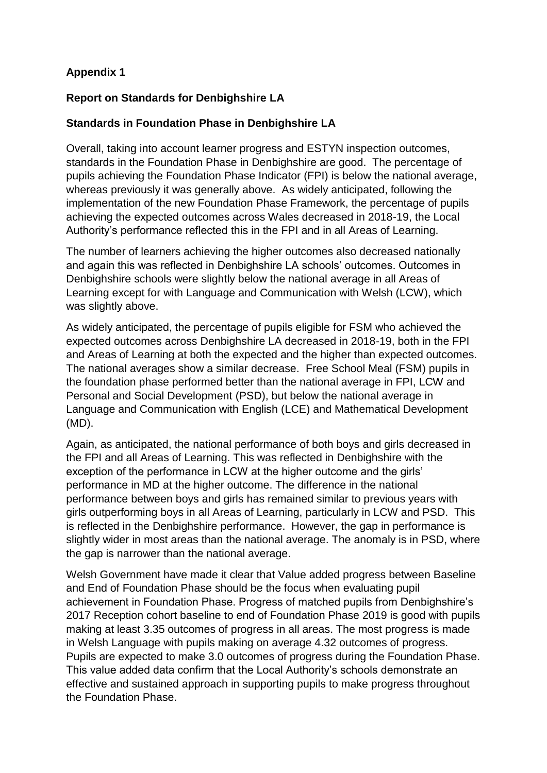# **Appendix 1**

## **Report on Standards for Denbighshire LA**

## **Standards in Foundation Phase in Denbighshire LA**

Overall, taking into account learner progress and ESTYN inspection outcomes, standards in the Foundation Phase in Denbighshire are good. The percentage of pupils achieving the Foundation Phase Indicator (FPI) is below the national average, whereas previously it was generally above. As widely anticipated, following the implementation of the new Foundation Phase Framework, the percentage of pupils achieving the expected outcomes across Wales decreased in 2018-19, the Local Authority's performance reflected this in the FPI and in all Areas of Learning.

The number of learners achieving the higher outcomes also decreased nationally and again this was reflected in Denbighshire LA schools' outcomes. Outcomes in Denbighshire schools were slightly below the national average in all Areas of Learning except for with Language and Communication with Welsh (LCW), which was slightly above.

As widely anticipated, the percentage of pupils eligible for FSM who achieved the expected outcomes across Denbighshire LA decreased in 2018-19, both in the FPI and Areas of Learning at both the expected and the higher than expected outcomes. The national averages show a similar decrease. Free School Meal (FSM) pupils in the foundation phase performed better than the national average in FPI, LCW and Personal and Social Development (PSD), but below the national average in Language and Communication with English (LCE) and Mathematical Development (MD).

Again, as anticipated, the national performance of both boys and girls decreased in the FPI and all Areas of Learning. This was reflected in Denbighshire with the exception of the performance in LCW at the higher outcome and the girls' performance in MD at the higher outcome. The difference in the national performance between boys and girls has remained similar to previous years with girls outperforming boys in all Areas of Learning, particularly in LCW and PSD. This is reflected in the Denbighshire performance. However, the gap in performance is slightly wider in most areas than the national average. The anomaly is in PSD, where the gap is narrower than the national average.

Welsh Government have made it clear that Value added progress between Baseline and End of Foundation Phase should be the focus when evaluating pupil achievement in Foundation Phase. Progress of matched pupils from Denbighshire's 2017 Reception cohort baseline to end of Foundation Phase 2019 is good with pupils making at least 3.35 outcomes of progress in all areas. The most progress is made in Welsh Language with pupils making on average 4.32 outcomes of progress. Pupils are expected to make 3.0 outcomes of progress during the Foundation Phase. This value added data confirm that the Local Authority's schools demonstrate an effective and sustained approach in supporting pupils to make progress throughout the Foundation Phase.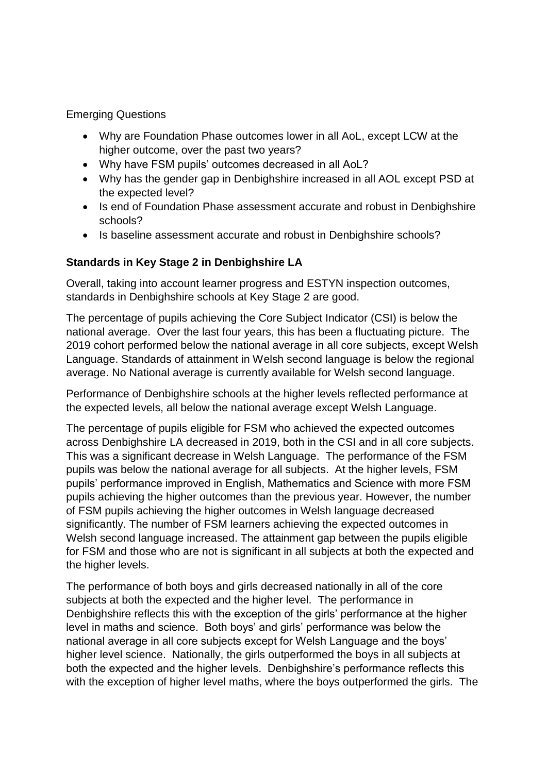Emerging Questions

- Why are Foundation Phase outcomes lower in all AoL, except LCW at the higher outcome, over the past two years?
- Why have FSM pupils' outcomes decreased in all AoL?
- Why has the gender gap in Denbighshire increased in all AOL except PSD at the expected level?
- Is end of Foundation Phase assessment accurate and robust in Denbighshire schools?
- Is baseline assessment accurate and robust in Denbighshire schools?

# **Standards in Key Stage 2 in Denbighshire LA**

Overall, taking into account learner progress and ESTYN inspection outcomes, standards in Denbighshire schools at Key Stage 2 are good.

The percentage of pupils achieving the Core Subject Indicator (CSI) is below the national average. Over the last four years, this has been a fluctuating picture. The 2019 cohort performed below the national average in all core subjects, except Welsh Language. Standards of attainment in Welsh second language is below the regional average. No National average is currently available for Welsh second language.

Performance of Denbighshire schools at the higher levels reflected performance at the expected levels, all below the national average except Welsh Language.

The percentage of pupils eligible for FSM who achieved the expected outcomes across Denbighshire LA decreased in 2019, both in the CSI and in all core subjects. This was a significant decrease in Welsh Language. The performance of the FSM pupils was below the national average for all subjects. At the higher levels, FSM pupils' performance improved in English, Mathematics and Science with more FSM pupils achieving the higher outcomes than the previous year. However, the number of FSM pupils achieving the higher outcomes in Welsh language decreased significantly. The number of FSM learners achieving the expected outcomes in Welsh second language increased. The attainment gap between the pupils eligible for FSM and those who are not is significant in all subjects at both the expected and the higher levels.

The performance of both boys and girls decreased nationally in all of the core subjects at both the expected and the higher level. The performance in Denbighshire reflects this with the exception of the girls' performance at the higher level in maths and science. Both boys' and girls' performance was below the national average in all core subjects except for Welsh Language and the boys' higher level science. Nationally, the girls outperformed the boys in all subjects at both the expected and the higher levels. Denbighshire's performance reflects this with the exception of higher level maths, where the boys outperformed the girls. The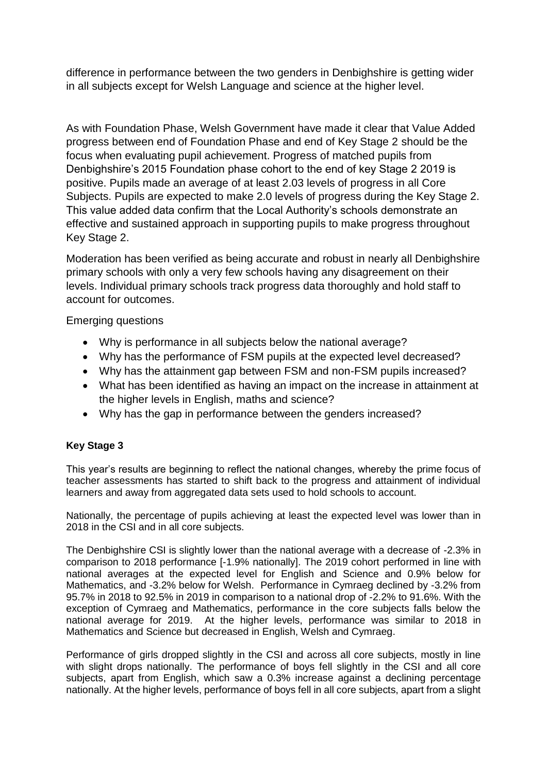difference in performance between the two genders in Denbighshire is getting wider in all subjects except for Welsh Language and science at the higher level.

As with Foundation Phase, Welsh Government have made it clear that Value Added progress between end of Foundation Phase and end of Key Stage 2 should be the focus when evaluating pupil achievement. Progress of matched pupils from Denbighshire's 2015 Foundation phase cohort to the end of key Stage 2 2019 is positive. Pupils made an average of at least 2.03 levels of progress in all Core Subjects. Pupils are expected to make 2.0 levels of progress during the Key Stage 2. This value added data confirm that the Local Authority's schools demonstrate an effective and sustained approach in supporting pupils to make progress throughout Key Stage 2.

Moderation has been verified as being accurate and robust in nearly all Denbighshire primary schools with only a very few schools having any disagreement on their levels. Individual primary schools track progress data thoroughly and hold staff to account for outcomes.

Emerging questions

- Why is performance in all subjects below the national average?
- Why has the performance of FSM pupils at the expected level decreased?
- Why has the attainment gap between FSM and non-FSM pupils increased?
- What has been identified as having an impact on the increase in attainment at the higher levels in English, maths and science?
- Why has the gap in performance between the genders increased?

## **Key Stage 3**

This year's results are beginning to reflect the national changes, whereby the prime focus of teacher assessments has started to shift back to the progress and attainment of individual learners and away from aggregated data sets used to hold schools to account.

Nationally, the percentage of pupils achieving at least the expected level was lower than in 2018 in the CSI and in all core subjects.

The Denbighshire CSI is slightly lower than the national average with a decrease of -2.3% in comparison to 2018 performance [-1.9% nationally]. The 2019 cohort performed in line with national averages at the expected level for English and Science and 0.9% below for Mathematics, and -3.2% below for Welsh. Performance in Cymraeg declined by -3.2% from 95.7% in 2018 to 92.5% in 2019 in comparison to a national drop of -2.2% to 91.6%. With the exception of Cymraeg and Mathematics, performance in the core subjects falls below the national average for 2019. At the higher levels, performance was similar to 2018 in Mathematics and Science but decreased in English, Welsh and Cymraeg.

Performance of girls dropped slightly in the CSI and across all core subjects, mostly in line with slight drops nationally. The performance of boys fell slightly in the CSI and all core subjects, apart from English, which saw a 0.3% increase against a declining percentage nationally. At the higher levels, performance of boys fell in all core subjects, apart from a slight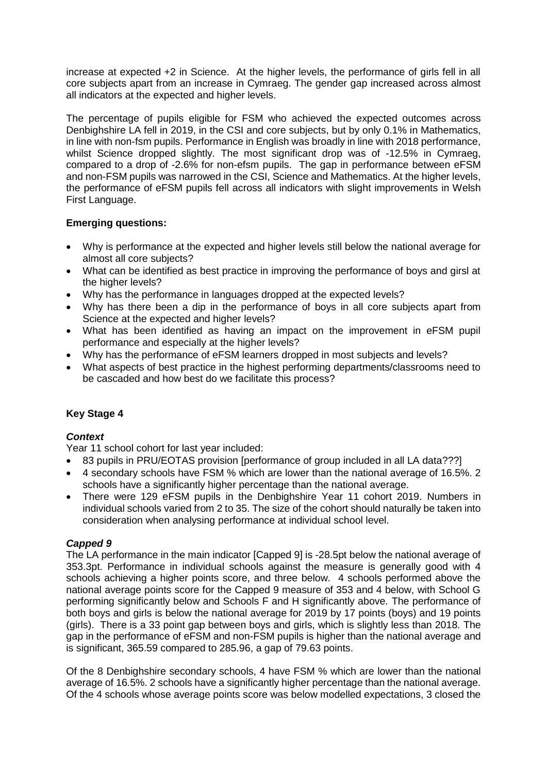increase at expected +2 in Science. At the higher levels, the performance of girls fell in all core subjects apart from an increase in Cymraeg. The gender gap increased across almost all indicators at the expected and higher levels.

The percentage of pupils eligible for FSM who achieved the expected outcomes across Denbighshire LA fell in 2019, in the CSI and core subjects, but by only 0.1% in Mathematics, in line with non-fsm pupils. Performance in English was broadly in line with 2018 performance, whilst Science dropped slightly. The most significant drop was of -12.5% in Cymraeg, compared to a drop of -2.6% for non-efsm pupils. The gap in performance between eFSM and non-FSM pupils was narrowed in the CSI, Science and Mathematics. At the higher levels, the performance of eFSM pupils fell across all indicators with slight improvements in Welsh First Language.

#### **Emerging questions:**

- Why is performance at the expected and higher levels still below the national average for almost all core subjects?
- What can be identified as best practice in improving the performance of boys and girsl at the higher levels?
- Why has the performance in languages dropped at the expected levels?
- Why has there been a dip in the performance of boys in all core subjects apart from Science at the expected and higher levels?
- What has been identified as having an impact on the improvement in eFSM pupil performance and especially at the higher levels?
- Why has the performance of eFSM learners dropped in most subjects and levels?
- What aspects of best practice in the highest performing departments/classrooms need to be cascaded and how best do we facilitate this process?

### **Key Stage 4**

#### *Context*

Year 11 school cohort for last year included:

- 83 pupils in PRU/EOTAS provision [performance of group included in all LA data???]
- 4 secondary schools have FSM % which are lower than the national average of 16.5%. 2 schools have a significantly higher percentage than the national average.
- There were 129 eFSM pupils in the Denbighshire Year 11 cohort 2019. Numbers in individual schools varied from 2 to 35. The size of the cohort should naturally be taken into consideration when analysing performance at individual school level.

#### *Capped 9*

The LA performance in the main indicator [Capped 9] is -28.5pt below the national average of 353.3pt. Performance in individual schools against the measure is generally good with 4 schools achieving a higher points score, and three below. 4 schools performed above the national average points score for the Capped 9 measure of 353 and 4 below, with School G performing significantly below and Schools F and H significantly above. The performance of both boys and girls is below the national average for 2019 by 17 points (boys) and 19 points (girls). There is a 33 point gap between boys and girls, which is slightly less than 2018. The gap in the performance of eFSM and non-FSM pupils is higher than the national average and is significant, 365.59 compared to 285.96, a gap of 79.63 points.

Of the 8 Denbighshire secondary schools, 4 have FSM % which are lower than the national average of 16.5%. 2 schools have a significantly higher percentage than the national average. Of the 4 schools whose average points score was below modelled expectations, 3 closed the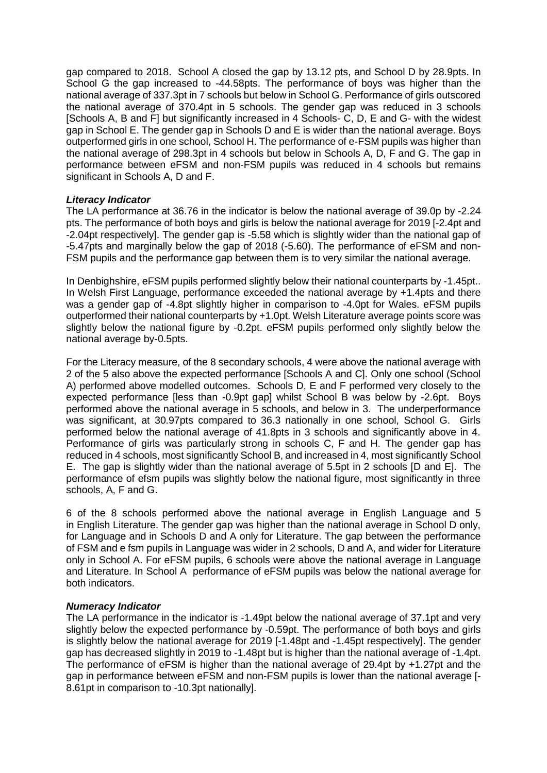gap compared to 2018. School A closed the gap by 13.12 pts, and School D by 28.9pts. In School G the gap increased to -44.58pts. The performance of boys was higher than the national average of 337.3pt in 7 schools but below in School G. Performance of girls outscored the national average of 370.4pt in 5 schools. The gender gap was reduced in 3 schools [Schools A, B and F] but significantly increased in 4 Schools- C, D, E and G- with the widest gap in School E. The gender gap in Schools D and E is wider than the national average. Boys outperformed girls in one school, School H. The performance of e-FSM pupils was higher than the national average of 298.3pt in 4 schools but below in Schools A, D, F and G. The gap in performance between eFSM and non-FSM pupils was reduced in 4 schools but remains significant in Schools A, D and F.

#### *Literacy Indicator*

The LA performance at 36.76 in the indicator is below the national average of 39.0p by -2.24 pts. The performance of both boys and girls is below the national average for 2019 [-2.4pt and -2.04pt respectively]. The gender gap is -5.58 which is slightly wider than the national gap of -5.47pts and marginally below the gap of 2018 (-5.60). The performance of eFSM and non-FSM pupils and the performance gap between them is to very similar the national average.

In Denbighshire, eFSM pupils performed slightly below their national counterparts by -1.45pt.. In Welsh First Language, performance exceeded the national average by +1.4pts and there was a gender gap of -4.8pt slightly higher in comparison to -4.0pt for Wales. eFSM pupils outperformed their national counterparts by +1.0pt. Welsh Literature average points score was slightly below the national figure by -0.2pt. eFSM pupils performed only slightly below the national average by-0.5pts.

For the Literacy measure, of the 8 secondary schools, 4 were above the national average with 2 of the 5 also above the expected performance [Schools A and C]. Only one school (School A) performed above modelled outcomes. Schools D, E and F performed very closely to the expected performance [less than -0.9pt gap] whilst School B was below by -2.6pt. Boys performed above the national average in 5 schools, and below in 3. The underperformance was significant, at 30.97pts compared to 36.3 nationally in one school, School G. Girls performed below the national average of 41.8pts in 3 schools and significantly above in 4. Performance of girls was particularly strong in schools C, F and H. The gender gap has reduced in 4 schools, most significantly School B, and increased in 4, most significantly School E. The gap is slightly wider than the national average of 5.5pt in 2 schools [D and E]. The performance of efsm pupils was slightly below the national figure, most significantly in three schools, A, F and G.

6 of the 8 schools performed above the national average in English Language and 5 in English Literature. The gender gap was higher than the national average in School D only, for Language and in Schools D and A only for Literature. The gap between the performance of FSM and e fsm pupils in Language was wider in 2 schools, D and A, and wider for Literature only in School A. For eFSM pupils, 6 schools were above the national average in Language and Literature. In School A performance of eFSM pupils was below the national average for both indicators.

#### *Numeracy Indicator*

The LA performance in the indicator is -1.49pt below the national average of 37.1pt and very slightly below the expected performance by -0.59pt. The performance of both boys and girls is slightly below the national average for 2019 [-1.48pt and -1.45pt respectively]. The gender gap has decreased slightly in 2019 to -1.48pt but is higher than the national average of -1.4pt. The performance of eFSM is higher than the national average of 29.4pt by +1.27pt and the gap in performance between eFSM and non-FSM pupils is lower than the national average [- 8.61pt in comparison to -10.3pt nationally].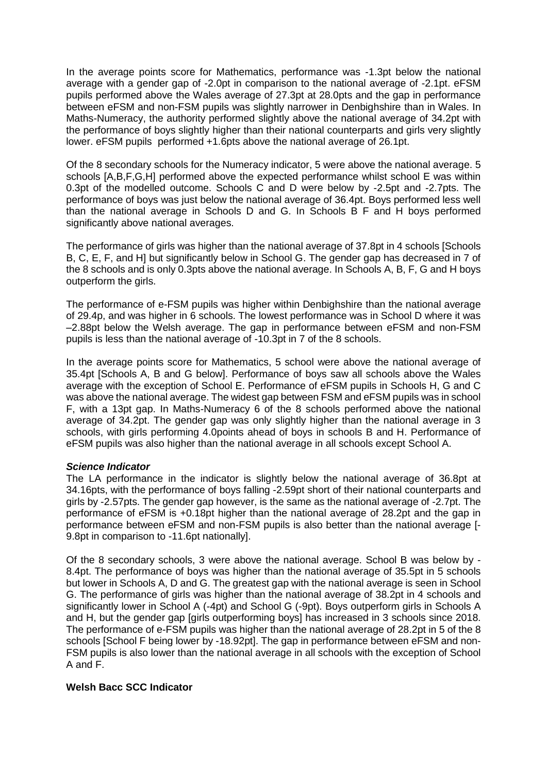In the average points score for Mathematics, performance was -1.3pt below the national average with a gender gap of -2.0pt in comparison to the national average of -2.1pt. eFSM pupils performed above the Wales average of 27.3pt at 28.0pts and the gap in performance between eFSM and non-FSM pupils was slightly narrower in Denbighshire than in Wales. In Maths-Numeracy, the authority performed slightly above the national average of 34.2pt with the performance of boys slightly higher than their national counterparts and girls very slightly lower. eFSM pupils performed +1.6pts above the national average of 26.1pt.

Of the 8 secondary schools for the Numeracy indicator, 5 were above the national average. 5 schools [A,B,F,G,H] performed above the expected performance whilst school E was within 0.3pt of the modelled outcome. Schools C and D were below by -2.5pt and -2.7pts. The performance of boys was just below the national average of 36.4pt. Boys performed less well than the national average in Schools D and G. In Schools B F and H boys performed significantly above national averages.

The performance of girls was higher than the national average of 37.8pt in 4 schools [Schools B, C, E, F, and H] but significantly below in School G. The gender gap has decreased in 7 of the 8 schools and is only 0.3pts above the national average. In Schools A, B, F, G and H boys outperform the girls.

The performance of e-FSM pupils was higher within Denbighshire than the national average of 29.4p, and was higher in 6 schools. The lowest performance was in School D where it was –2.88pt below the Welsh average. The gap in performance between eFSM and non-FSM pupils is less than the national average of -10.3pt in 7 of the 8 schools.

In the average points score for Mathematics, 5 school were above the national average of 35.4pt [Schools A, B and G below]. Performance of boys saw all schools above the Wales average with the exception of School E. Performance of eFSM pupils in Schools H, G and C was above the national average. The widest gap between FSM and eFSM pupils was in school F, with a 13pt gap. In Maths-Numeracy 6 of the 8 schools performed above the national average of 34.2pt. The gender gap was only slightly higher than the national average in 3 schools, with girls performing 4.0points ahead of boys in schools B and H. Performance of eFSM pupils was also higher than the national average in all schools except School A.

#### *Science Indicator*

The LA performance in the indicator is slightly below the national average of 36.8pt at 34.16pts, with the performance of boys falling -2.59pt short of their national counterparts and girls by -2.57pts. The gender gap however, is the same as the national average of -2.7pt. The performance of eFSM is +0.18pt higher than the national average of 28.2pt and the gap in performance between eFSM and non-FSM pupils is also better than the national average [- 9.8pt in comparison to -11.6pt nationally].

Of the 8 secondary schools, 3 were above the national average. School B was below by - 8.4pt. The performance of boys was higher than the national average of 35.5pt in 5 schools but lower in Schools A, D and G. The greatest gap with the national average is seen in School G. The performance of girls was higher than the national average of 38.2pt in 4 schools and significantly lower in School A (-4pt) and School G (-9pt). Boys outperform girls in Schools A and H, but the gender gap [girls outperforming boys] has increased in 3 schools since 2018. The performance of e-FSM pupils was higher than the national average of 28.2pt in 5 of the 8 schools [School F being lower by -18.92pt]. The gap in performance between eFSM and non-FSM pupils is also lower than the national average in all schools with the exception of School A and F.

#### **Welsh Bacc SCC Indicator**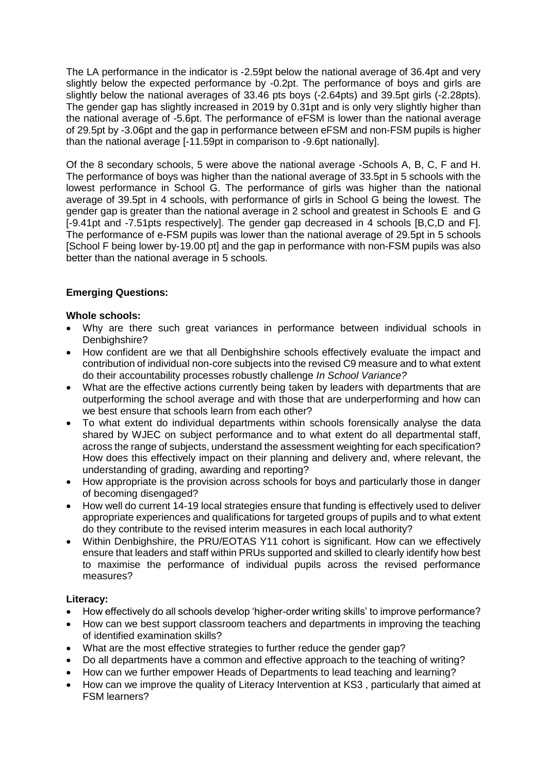The LA performance in the indicator is -2.59pt below the national average of 36.4pt and very slightly below the expected performance by -0.2pt. The performance of boys and girls are slightly below the national averages of 33.46 pts boys (-2.64pts) and 39.5pt girls (-2.28pts). The gender gap has slightly increased in 2019 by 0.31pt and is only very slightly higher than the national average of -5.6pt. The performance of eFSM is lower than the national average of 29.5pt by -3.06pt and the gap in performance between eFSM and non-FSM pupils is higher than the national average [-11.59pt in comparison to -9.6pt nationally].

Of the 8 secondary schools, 5 were above the national average -Schools A, B, C, F and H. The performance of boys was higher than the national average of 33.5pt in 5 schools with the lowest performance in School G. The performance of girls was higher than the national average of 39.5pt in 4 schools, with performance of girls in School G being the lowest. The gender gap is greater than the national average in 2 school and greatest in Schools E and G [-9.41pt and -7.51pts respectively]. The gender gap decreased in 4 schools [B,C,D and F]. The performance of e-FSM pupils was lower than the national average of 29.5pt in 5 schools [School F being lower by-19.00 pt] and the gap in performance with non-FSM pupils was also better than the national average in 5 schools.

### **Emerging Questions:**

#### **Whole schools:**

- Why are there such great variances in performance between individual schools in Denbighshire?
- How confident are we that all Denbighshire schools effectively evaluate the impact and contribution of individual non-core subjects into the revised C9 measure and to what extent do their accountability processes robustly challenge *In School Variance?*
- What are the effective actions currently being taken by leaders with departments that are outperforming the school average and with those that are underperforming and how can we best ensure that schools learn from each other?
- To what extent do individual departments within schools forensically analyse the data shared by WJEC on subject performance and to what extent do all departmental staff, across the range of subjects, understand the assessment weighting for each specification? How does this effectively impact on their planning and delivery and, where relevant, the understanding of grading, awarding and reporting?
- How appropriate is the provision across schools for boys and particularly those in danger of becoming disengaged?
- How well do current 14-19 local strategies ensure that funding is effectively used to deliver appropriate experiences and qualifications for targeted groups of pupils and to what extent do they contribute to the revised interim measures in each local authority?
- Within Denbighshire, the PRU/EOTAS Y11 cohort is significant. How can we effectively ensure that leaders and staff within PRUs supported and skilled to clearly identify how best to maximise the performance of individual pupils across the revised performance measures?

#### **Literacy:**

- How effectively do all schools develop 'higher-order writing skills' to improve performance?
- How can we best support classroom teachers and departments in improving the teaching of identified examination skills?
- What are the most effective strategies to further reduce the gender gap?
- Do all departments have a common and effective approach to the teaching of writing?
- How can we further empower Heads of Departments to lead teaching and learning?
- How can we improve the quality of Literacy Intervention at KS3 , particularly that aimed at FSM learners?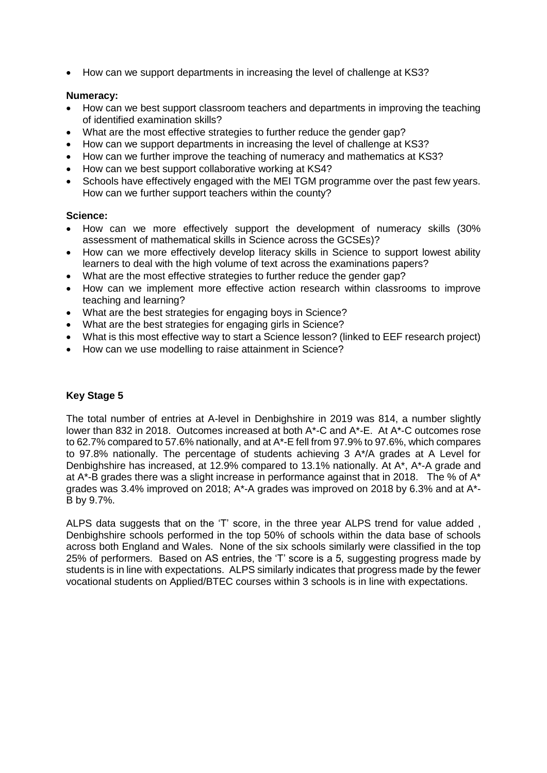• How can we support departments in increasing the level of challenge at KS3?

#### **Numeracy:**

- How can we best support classroom teachers and departments in improving the teaching of identified examination skills?
- What are the most effective strategies to further reduce the gender gap?
- How can we support departments in increasing the level of challenge at KS3?
- How can we further improve the teaching of numeracy and mathematics at KS3?
- How can we best support collaborative working at KS4?
- Schools have effectively engaged with the MEI TGM programme over the past few years. How can we further support teachers within the county?

#### **Science:**

- How can we more effectively support the development of numeracy skills (30% assessment of mathematical skills in Science across the GCSEs)?
- How can we more effectively develop literacy skills in Science to support lowest ability learners to deal with the high volume of text across the examinations papers?
- What are the most effective strategies to further reduce the gender gap?
- How can we implement more effective action research within classrooms to improve teaching and learning?
- What are the best strategies for engaging boys in Science?
- What are the best strategies for engaging girls in Science?
- What is this most effective way to start a Science lesson? (linked to EEF research project)
- How can we use modelling to raise attainment in Science?

### **Key Stage 5**

The total number of entries at A-level in Denbighshire in 2019 was 814, a number slightly lower than 832 in 2018. Outcomes increased at both A\*-C and A\*-E. At A\*-C outcomes rose to 62.7% compared to 57.6% nationally, and at A\*-E fell from 97.9% to 97.6%, which compares to 97.8% nationally. The percentage of students achieving 3 A\*/A grades at A Level for Denbighshire has increased, at 12.9% compared to 13.1% nationally. At A\*, A\*-A grade and at A\*-B grades there was a slight increase in performance against that in 2018. The % of A\* grades was 3.4% improved on 2018; A\*-A grades was improved on 2018 by 6.3% and at A\*- B by 9.7%.

ALPS data suggests that on the 'T' score, in the three year ALPS trend for value added , Denbighshire schools performed in the top 50% of schools within the data base of schools across both England and Wales. None of the six schools similarly were classified in the top 25% of performers. Based on AS entries, the 'T' score is a 5, suggesting progress made by students is in line with expectations. ALPS similarly indicates that progress made by the fewer vocational students on Applied/BTEC courses within 3 schools is in line with expectations.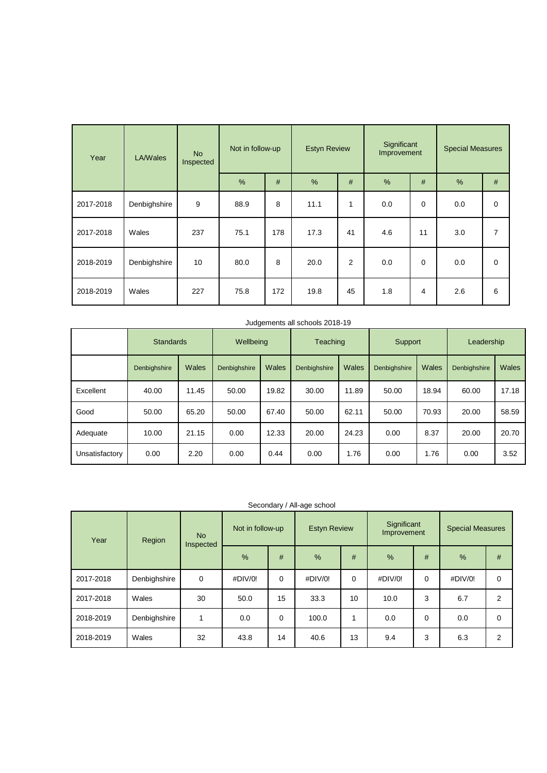| Year      | <b>LA/Wales</b> | <b>No</b><br>Inspected | Not in follow-up |     | <b>Estyn Review</b> |    | Significant<br>Improvement |          | <b>Special Measures</b> |   |
|-----------|-----------------|------------------------|------------------|-----|---------------------|----|----------------------------|----------|-------------------------|---|
|           |                 |                        | %                | #   | %                   | #  | %                          | #        | %                       | # |
| 2017-2018 | Denbighshire    | 9                      | 88.9             | 8   | 11.1                | 1  | 0.0                        | 0        | 0.0                     | 0 |
| 2017-2018 | Wales           | 237                    | 75.1             | 178 | 17.3                | 41 | 4.6                        | 11       | 3.0                     | 7 |
| 2018-2019 | Denbighshire    | 10                     | 80.0             | 8   | 20.0                | 2  | 0.0                        | $\Omega$ | 0.0                     | 0 |
| 2018-2019 | Wales           | 227                    | 75.8             | 172 | 19.8                | 45 | 1.8                        | 4        | 2.6                     | 6 |

|                | <b>Standards</b> |       | Wellbeing    |       | Teaching     |       | Support      |       | Leadership   |       |
|----------------|------------------|-------|--------------|-------|--------------|-------|--------------|-------|--------------|-------|
|                | Denbighshire     | Wales | Denbighshire | Wales | Denbighshire | Wales | Denbighshire | Wales | Denbighshire | Wales |
| Excellent      | 40.00            | 11.45 | 50.00        | 19.82 | 30.00        | 11.89 | 50.00        | 18.94 | 60.00        | 17.18 |
| Good           | 50.00            | 65.20 | 50.00        | 67.40 | 50.00        | 62.11 | 50.00        | 70.93 | 20.00        | 58.59 |
| Adequate       | 10.00            | 21.15 | 0.00         | 12.33 | 20.00        | 24.23 | 0.00         | 8.37  | 20.00        | 20.70 |
| Unsatisfactory | 0.00             | 2.20  | 0.00         | 0.44  | 0.00         | 1.76  | 0.00         | 1.76  | 0.00         | 3.52  |

| Secondary / All-age school |  |  |
|----------------------------|--|--|
|----------------------------|--|--|

| Year      | Region       | <b>No</b><br>Inspected | Not in follow-up |          | <b>Estyn Review</b> |          | Significant<br>Improvement |   | <b>Special Measures</b> |             |
|-----------|--------------|------------------------|------------------|----------|---------------------|----------|----------------------------|---|-------------------------|-------------|
|           |              |                        | $\frac{9}{6}$    | #        | %                   | #        | $\frac{9}{6}$              | # | $\frac{9}{6}$           | #           |
| 2017-2018 | Denbighshire | $\mathbf 0$            | #DIV/0!          | $\Omega$ | #DIV/0!             | $\Omega$ | #DIV/0!                    | 0 | #DIV/0!                 | 0           |
| 2017-2018 | Wales        | 30                     | 50.0             | 15       | 33.3                | 10       | 10.0                       | 3 | 6.7                     | 2           |
| 2018-2019 | Denbighshire |                        | 0.0              | 0        | 100.0               |          | 0.0                        | 0 | 0.0                     | $\mathbf 0$ |
| 2018-2019 | Wales        | 32                     | 43.8             | 14       | 40.6                | 13       | 9.4                        | 3 | 6.3                     | 2           |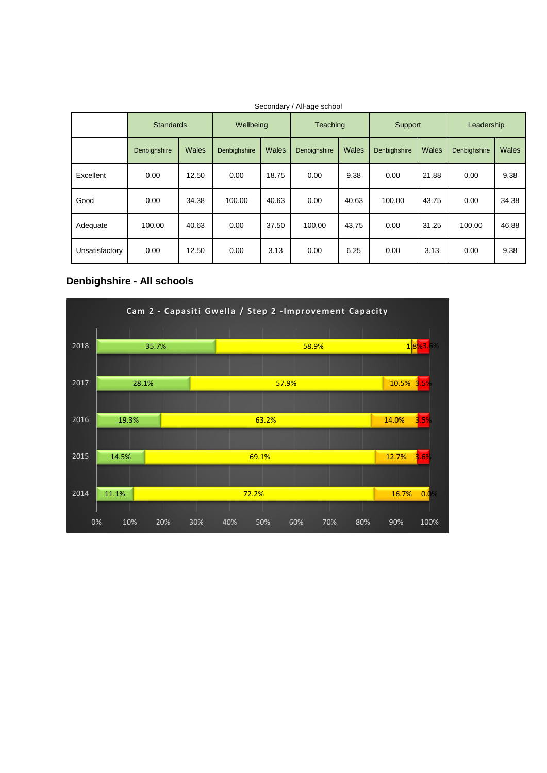|                | <b>Standards</b> |       | Wellbeing    |       | <b>Teaching</b> |       | Support      |       | Leadership   |       |
|----------------|------------------|-------|--------------|-------|-----------------|-------|--------------|-------|--------------|-------|
|                | Denbighshire     | Wales | Denbighshire | Wales | Denbighshire    | Wales | Denbighshire | Wales | Denbighshire | Wales |
| Excellent      | 0.00             | 12.50 | 0.00         | 18.75 | 0.00            | 9.38  | 0.00         | 21.88 | 0.00         | 9.38  |
| Good           | 0.00             | 34.38 | 100.00       | 40.63 | 0.00            | 40.63 | 100.00       | 43.75 | 0.00         | 34.38 |
| Adequate       | 100.00           | 40.63 | 0.00         | 37.50 | 100.00          | 43.75 | 0.00         | 31.25 | 100.00       | 46.88 |
| Unsatisfactory | 0.00             | 12.50 | 0.00         | 3.13  | 0.00            | 6.25  | 0.00         | 3.13  | 0.00         | 9.38  |

Secondary / All-age school

## **Denbighshire - All schools**

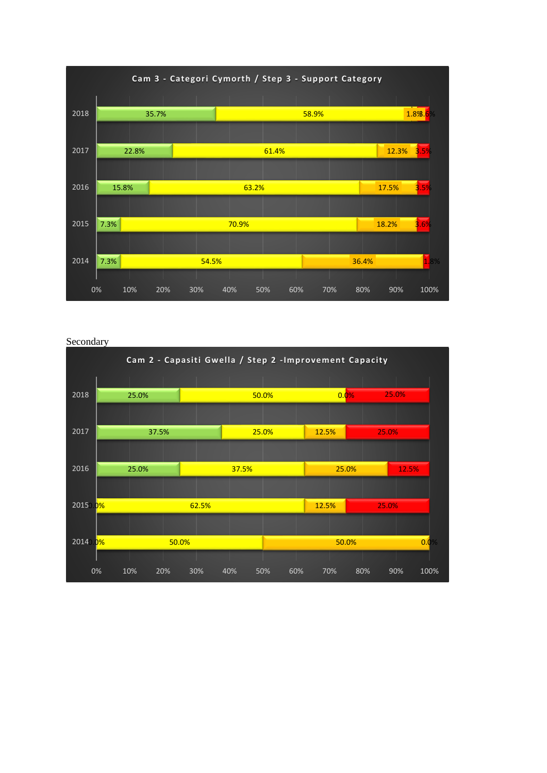

Secondary